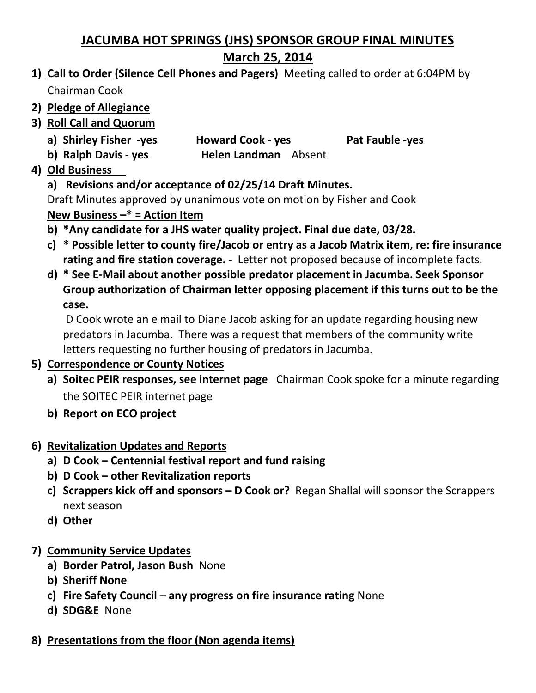## **JACUMBA HOT SPRINGS (JHS) SPONSOR GROUP FINAL MINUTES March 25, 2014**

- **1) Call to Order (Silence Cell Phones and Pagers)** Meeting called to order at 6:04PM by Chairman Cook
- **2) Pledge of Allegiance**
- **3) Roll Call and Quorum**
	- **a) Shirley Fisher -yes Howard Cook - yes Pat Fauble -yes**
	- **b) Ralph Davis - yes Helen Landman** Absent
- **4) Old Business**

**a) Revisions and/or acceptance of 02/25/14 Draft Minutes.**

Draft Minutes approved by unanimous vote on motion by Fisher and Cook

**New Business –\* = Action Item** 

- **b) \*Any candidate for a JHS water quality project. Final due date, 03/28.**
- **c) \* Possible letter to county fire/Jacob or entry as a Jacob Matrix item, re: fire insurance rating and fire station coverage. -** Letter not proposed because of incomplete facts.
- **d) \* See E-Mail about another possible predator placement in Jacumba. Seek Sponsor Group authorization of Chairman letter opposing placement if this turns out to be the case.**

D Cook wrote an e mail to Diane Jacob asking for an update regarding housing new predators in Jacumba. There was a request that members of the community write letters requesting no further housing of predators in Jacumba.

- **5) Correspondence or County Notices**
	- **a) Soitec PEIR responses, see internet page** Chairman Cook spoke for a minute regarding the SOITEC PEIR internet page
	- **b) Report on ECO project**
- **6) Revitalization Updates and Reports**
	- **a) D Cook – Centennial festival report and fund raising**
	- **b) D Cook – other Revitalization reports**
	- **c) Scrappers kick off and sponsors – D Cook or?** Regan Shallal will sponsor the Scrappers next season
	- **d) Other**
- **7) Community Service Updates**
	- **a) Border Patrol, Jason Bush** None
	- **b) Sheriff None**
	- **c) Fire Safety Council – any progress on fire insurance rating** None
	- **d) SDG&E** None
- **8) Presentations from the floor (Non agenda items)**